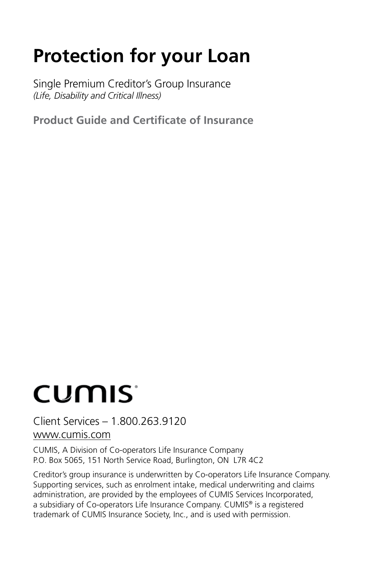## **Protection for your Loan**

Single Premium Creditor's Group Insurance *(Life, Disability and Critical Illness)* 

**Product Guide and Certificate of Insurance**

# CUMIS<sup>®</sup>

Client Services – 1.800.263.9120 <www.cumis.com>

CUMIS, A Division of Co-operators Life Insurance Company P.O. Box 5065, 151 North Service Road, Burlington, ON L7R 4C2

Creditor's group insurance is underwritten by Co-operators Life Insurance Company. Supporting services, such as enrolment intake, medical underwriting and claims administration, are provided by the employees of CUMIS Services Incorporated, a subsidiary of Co-operators Life Insurance Company. CUMIS® is a registered trademark of CUMIS Insurance Society, Inc., and is used with permission.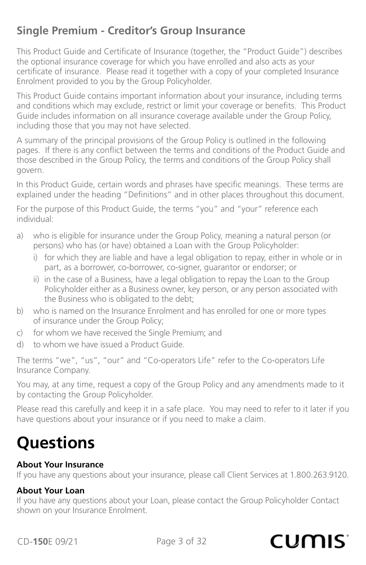### **Single Premium - Creditor's Group Insurance**

This Product Guide and Certificate of Insurance (together, the "Product Guide") describes the optional insurance coverage for which you have enrolled and also acts as your certificate of insurance. Please read it together with a copy of your completed Insurance Enrolment provided to you by the Group Policyholder.

This Product Guide contains important information about your insurance, including terms and conditions which may exclude, restrict or limit your coverage or benefits. This Product Guide includes information on all insurance coverage available under the Group Policy, including those that you may not have selected.

A summary of the principal provisions of the Group Policy is outlined in the following pages. If there is any conflict between the terms and conditions of the Product Guide and those described in the Group Policy, the terms and conditions of the Group Policy shall govern.

In this Product Guide, certain words and phrases have specific meanings. These terms are explained under the heading "Definitions" and in other places throughout this document.

For the purpose of this Product Guide, the terms "you" and "your" reference each individual:

- a) who is eligible for insurance under the Group Policy, meaning a natural person (or persons) who has (or have) obtained a Loan with the Group Policyholder:
	- i) for which they are liable and have a legal obligation to repay, either in whole or in part, as a borrower, co-borrower, co-signer, guarantor or endorser; or
	- ii) in the case of a Business, have a legal obligation to repay the Loan to the Group Policyholder either as a Business owner, key person, or any person associated with the Business who is obligated to the debt;
- b) who is named on the Insurance Enrolment and has enrolled for one or more types of insurance under the Group Policy;
- c) for whom we have received the Single Premium; and
- d) to whom we have issued a Product Guide.

The terms "we", "us", "our" and "Co-operators Life" refer to the Co-operators Life Insurance Company.

You may, at any time, request a copy of the Group Policy and any amendments made to it by contacting the Group Policyholder.

Please read this carefully and keep it in a safe place. You may need to refer to it later if you have questions about your insurance or if you need to make a claim.

## **Questions**

#### **About Your Insurance**

If you have any questions about your insurance, please call Client Services at 1.800.263.9120.

#### **About Your Loan**

If you have any questions about your Loan, please contact the Group Policyholder Contact shown on your Insurance Enrolment.

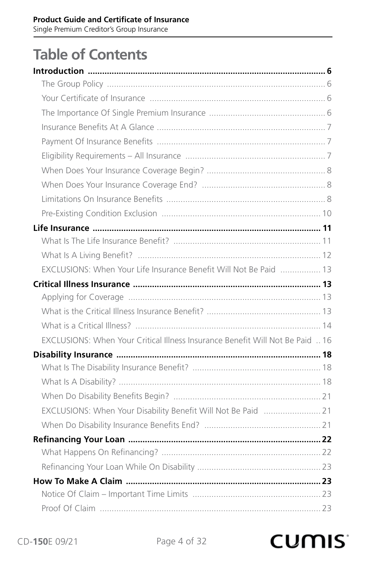Single Premium Creditor's Group Insurance

## **Table of Contents**

| EXCLUSIONS: When Your Life Insurance Benefit Will Not Be Paid  13             |  |
|-------------------------------------------------------------------------------|--|
|                                                                               |  |
|                                                                               |  |
|                                                                               |  |
|                                                                               |  |
| EXCLUSIONS: When Your Critical Illness Insurance Benefit Will Not Be Paid  16 |  |
|                                                                               |  |
|                                                                               |  |
|                                                                               |  |
|                                                                               |  |
| EXCLUSIONS: When Your Disability Benefit Will Not Be Paid  21                 |  |
|                                                                               |  |
|                                                                               |  |
|                                                                               |  |
|                                                                               |  |
|                                                                               |  |
|                                                                               |  |
|                                                                               |  |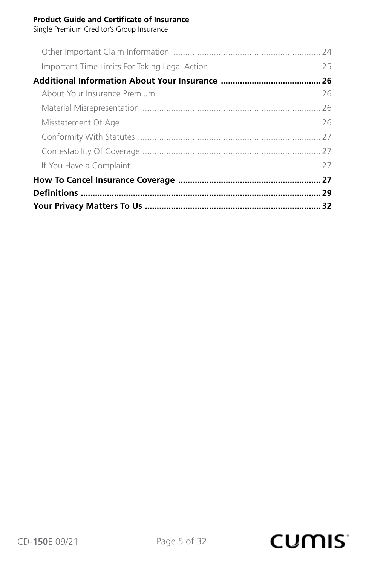Single Premium Creditor's Group Insurance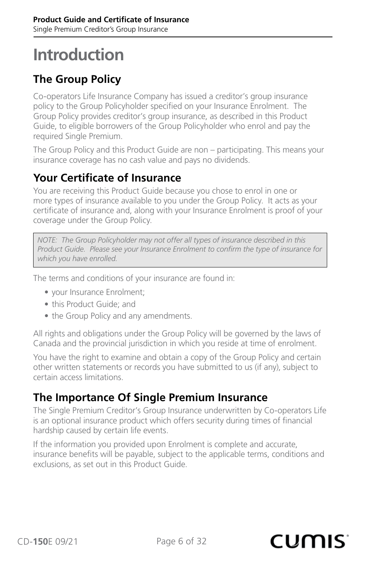## <span id="page-5-0"></span>**Introduction**

## **The Group Policy**

Co-operators Life Insurance Company has issued a creditor's group insurance policy to the Group Policyholder specified on your Insurance Enrolment. The Group Policy provides creditor's group insurance, as described in this Product Guide, to eligible borrowers of the Group Policyholder who enrol and pay the required Single Premium.

The Group Policy and this Product Guide are non – participating. This means your insurance coverage has no cash value and pays no dividends.

#### **Your Certificate of Insurance**

You are receiving this Product Guide because you chose to enrol in one or more types of insurance available to you under the Group Policy. It acts as your certificate of insurance and, along with your Insurance Enrolment is proof of your coverage under the Group Policy.

*NOTE: The Group Policyholder may not offer all types of insurance described in this Product Guide. Please see your Insurance Enrolment to confirm the type of insurance for which you have enrolled.*

The terms and conditions of your insurance are found in:

- your Insurance Enrolment;
- this Product Guide; and
- the Group Policy and any amendments.

All rights and obligations under the Group Policy will be governed by the laws of Canada and the provincial jurisdiction in which you reside at time of enrolment.

You have the right to examine and obtain a copy of the Group Policy and certain other written statements or records you have submitted to us (if any), subject to certain access limitations.

### **The Importance Of Single Premium Insurance**

The Single Premium Creditor's Group Insurance underwritten by Co-operators Life is an optional insurance product which offers security during times of financial hardship caused by certain life events.

If the information you provided upon Enrolment is complete and accurate, insurance benefits will be payable, subject to the applicable terms, conditions and exclusions, as set out in this Product Guide.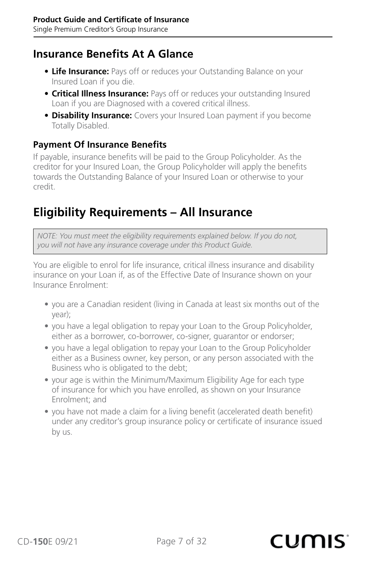#### <span id="page-6-0"></span>**Insurance Benefits At A Glance**

- **• Life Insurance:** Pays off or reduces your Outstanding Balance on your Insured Loan if you die.
- **Critical Illness Insurance:** Pays off or reduces your outstanding Insured Loan if you are Diagnosed with a covered critical illness.
- **Disability Insurance:** Covers your Insured Loan payment if you become Totally Disabled.

#### **Payment Of Insurance Benefits**

If payable, insurance benefits will be paid to the Group Policyholder. As the creditor for your Insured Loan, the Group Policyholder will apply the benefits towards the Outstanding Balance of your Insured Loan or otherwise to your credit.

## **Eligibility Requirements – All Insurance**

*NOTE: You must meet the eligibility requirements explained below. If you do not, you will not have any insurance coverage under this Product Guide.*

You are eligible to enrol for life insurance, critical illness insurance and disability insurance on your Loan if, as of the Effective Date of Insurance shown on your Insurance Enrolment:

- you are a Canadian resident (living in Canada at least six months out of the year);
- you have a legal obligation to repay your Loan to the Group Policyholder, either as a borrower, co-borrower, co-signer, guarantor or endorser;
- you have a legal obligation to repay your Loan to the Group Policyholder either as a Business owner, key person, or any person associated with the Business who is obligated to the debt;
- your age is within the Minimum/Maximum Eligibility Age for each type of insurance for which you have enrolled, as shown on your Insurance Enrolment; and
- you have not made a claim for a living benefit (accelerated death benefit) under any creditor's group insurance policy or certificate of insurance issued by us.

#### CD-**150**E 09/21 Page 7 of 32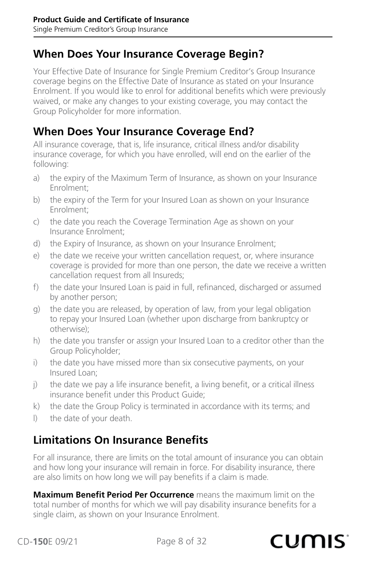### <span id="page-7-0"></span>**When Does Your Insurance Coverage Begin?**

Your Effective Date of Insurance for Single Premium Creditor's Group Insurance coverage begins on the Effective Date of Insurance as stated on your Insurance Enrolment. If you would like to enrol for additional benefits which were previously waived, or make any changes to your existing coverage, you may contact the Group Policyholder for more information.

### **When Does Your Insurance Coverage End?**

All insurance coverage, that is, life insurance, critical illness and/or disability insurance coverage, for which you have enrolled, will end on the earlier of the following:

- a) the expiry of the Maximum Term of Insurance, as shown on your Insurance Enrolment;
- b) the expiry of the Term for your Insured Loan as shown on your Insurance Enrolment:
- c) the date you reach the Coverage Termination Age as shown on your Insurance Enrolment:
- d) the Expiry of Insurance, as shown on your Insurance Enrolment;
- e) the date we receive your written cancellation request, or, where insurance coverage is provided for more than one person, the date we receive a written cancellation request from all Insureds;
- f) the date your Insured Loan is paid in full, refinanced, discharged or assumed by another person;
- g) the date you are released, by operation of law, from your legal obligation to repay your Insured Loan (whether upon discharge from bankruptcy or otherwise):
- h) the date you transfer or assign your Insured Loan to a creditor other than the Group Policyholder;
- i) the date you have missed more than six consecutive payments, on your Insured Loan;
- j) the date we pay a life insurance benefit, a living benefit, or a critical illness insurance benefit under this Product Guide:
- k) the date the Group Policy is terminated in accordance with its terms; and
- l) the date of your death.

## **Limitations On Insurance Benefits**

For all insurance, there are limits on the total amount of insurance you can obtain and how long your insurance will remain in force. For disability insurance, there are also limits on how long we will pay benefits if a claim is made.

**Maximum Benefit Period Per Occurrence** means the maximum limit on the total number of months for which we will pay disability insurance benefits for a single claim, as shown on your Insurance Enrolment.

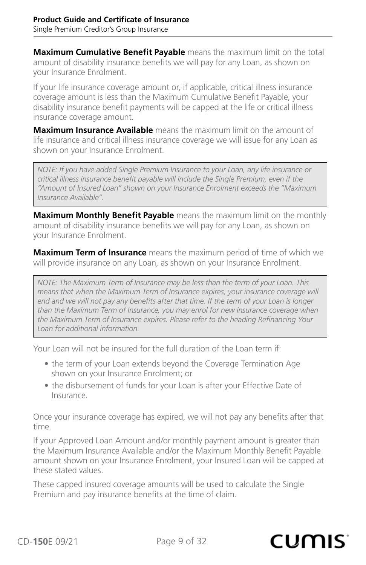**Maximum Cumulative Benefit Payable** means the maximum limit on the total amount of disability insurance benefits we will pay for any Loan, as shown on your Insurance Enrolment.

If your life insurance coverage amount or, if applicable, critical illness insurance coverage amount is less than the Maximum Cumulative Benefit Payable, your disability insurance benefit payments will be capped at the life or critical illness insurance coverage amount.

**Maximum Insurance Available** means the maximum limit on the amount of life insurance and critical illness insurance coverage we will issue for any Loan as shown on your Insurance Enrolment.

*NOTE: If you have added Single Premium Insurance to your Loan, any life insurance or critical illness insurance benefit payable will include the Single Premium, even if the "Amount of Insured Loan" shown on your Insurance Enrolment exceeds the "Maximum Insurance Available".*

**Maximum Monthly Benefit Payable** means the maximum limit on the monthly amount of disability insurance benefits we will pay for any Loan, as shown on your Insurance Enrolment.

**Maximum Term of Insurance** means the maximum period of time of which we will provide insurance on any Loan, as shown on your Insurance Enrolment.

*NOTE: The Maximum Term of Insurance may be less than the term of your Loan. This means that when the Maximum Term of Insurance expires, your insurance coverage will end and we will not pay any benefits after that time. If the term of your Loan is longer than the Maximum Term of Insurance, you may enrol for new insurance coverage when the Maximum Term of Insurance expires. Please refer to the heading Refinancing Your Loan for additional information.*

Your Loan will not be insured for the full duration of the Loan term if:

- the term of your Loan extends beyond the Coverage Termination Age shown on your Insurance Enrolment; or
- the disbursement of funds for your Loan is after your Effective Date of Insurance.

Once your insurance coverage has expired, we will not pay any benefits after that time.

If your Approved Loan Amount and/or monthly payment amount is greater than the Maximum Insurance Available and/or the Maximum Monthly Benefit Payable amount shown on your Insurance Enrolment, your Insured Loan will be capped at these stated values.

These capped insured coverage amounts will be used to calculate the Single Premium and pay insurance benefits at the time of claim.

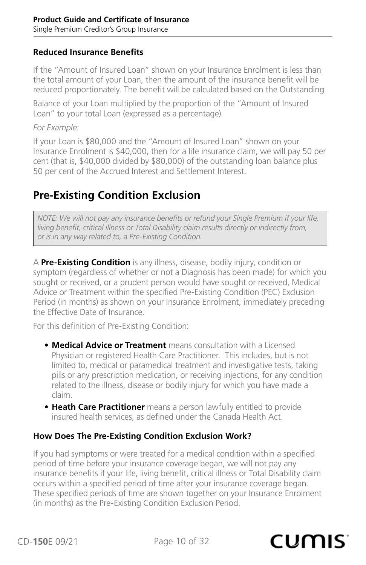#### <span id="page-9-0"></span>**Reduced Insurance Benefits**

If the "Amount of Insured Loan" shown on your Insurance Enrolment is less than the total amount of your Loan, then the amount of the insurance benefit will be reduced proportionately. The benefit will be calculated based on the Outstanding

Balance of your Loan multiplied by the proportion of the "Amount of Insured Loan" to your total Loan (expressed as a percentage).

*For Example:*

If your Loan is \$80,000 and the "Amount of Insured Loan" shown on your Insurance Enrolment is \$40,000, then for a life insurance claim, we will pay 50 per cent (that is, \$40,000 divided by \$80,000) of the outstanding loan balance plus 50 per cent of the Accrued Interest and Settlement Interest.

## **Pre-Existing Condition Exclusion**

*NOTE: We will not pay any insurance benefits or refund your Single Premium if your life, living benefit, critical illness or Total Disability claim results directly or indirectly from, or is in any way related to, a Pre-Existing Condition.*

A **Pre-Existing Condition** is any illness, disease, bodily injury, condition or symptom (regardless of whether or not a Diagnosis has been made) for which you sought or received, or a prudent person would have sought or received, Medical Advice or Treatment within the specified Pre-Existing Condition (PEC) Exclusion Period (in months) as shown on your Insurance Enrolment, immediately preceding the Effective Date of Insurance.

For this definition of Pre-Existing Condition:

- **• Medical Advice or Treatment** means consultation with a Licensed Physician or registered Health Care Practitioner. This includes, but is not limited to, medical or paramedical treatment and investigative tests, taking pills or any prescription medication, or receiving injections, for any condition related to the illness, disease or bodily injury for which you have made a claim.
- **• Heath Care Practitioner** means a person lawfully entitled to provide insured health services, as defined under the Canada Health Act.

#### **How Does The Pre-Existing Condition Exclusion Work?**

If you had symptoms or were treated for a medical condition within a specified period of time before your insurance coverage began, we will not pay any insurance benefits if your life, living benefit, critical illness or Total Disability claim occurs within a specified period of time after your insurance coverage began. These specified periods of time are shown together on your Insurance Enrolment (in months) as the Pre-Existing Condition Exclusion Period.

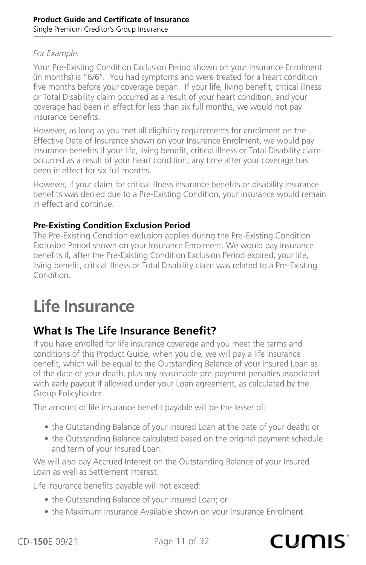#### <span id="page-10-0"></span>*For Example:*

Your Pre-Existing Condition Exclusion Period shown on your Insurance Enrolment (in months) is "6/6". You had symptoms and were treated for a heart condition five months before your coverage began. If your life, living benefit, critical illness or Total Disability claim occurred as a result of your heart condition, and your coverage had been in effect for less than six full months, we would not pay insurance benefits.

However, as long as you met all eligibility requirements for enrolment on the Effective Date of Insurance shown on your Insurance Enrolment, we would pay insurance benefits if your life, living benefit, critical illness or Total Disability claim occurred as a result of your heart condition, any time after your coverage has been in effect for six full months.

However, if your claim for critical illness insurance benefits or disability insurance benefits was denied due to a Pre-Existing Condition, your insurance would remain in effect and continue.

#### **Pre-Existing Condition Exclusion Period**

The Pre-Existing Condition exclusion applies during the Pre-Existing Condition Exclusion Period shown on your Insurance Enrolment. We would pay insurance benefits if, after the Pre-Existing Condition Exclusion Period expired, your life, living benefit, critical illness or Total Disability claim was related to a Pre-Existing Condition.

## **Life Insurance**

## **What Is The Life Insurance Benefit?**

If you have enrolled for life insurance coverage and you meet the terms and conditions of this Product Guide, when you die, we will pay a life insurance benefit, which will be equal to the Outstanding Balance of your Insured Loan as of the date of your death, plus any reasonable pre-payment penalties associated with early payout if allowed under your Loan agreement, as calculated by the Group Policyholder.

The amount of life insurance benefit payable will be the lesser of:

- the Outstanding Balance of your Insured Loan at the date of your death; or
- the Outstanding Balance calculated based on the original payment schedule and term of your Insured Loan.

We will also pay Accrued Interest on the Outstanding Balance of your Insured Loan as well as Settlement Interest.

Life insurance benefits payable will not exceed:

- the Outstanding Balance of your Insured Loan; or
- the Maximum Insurance Available shown on your Insurance Enrolment.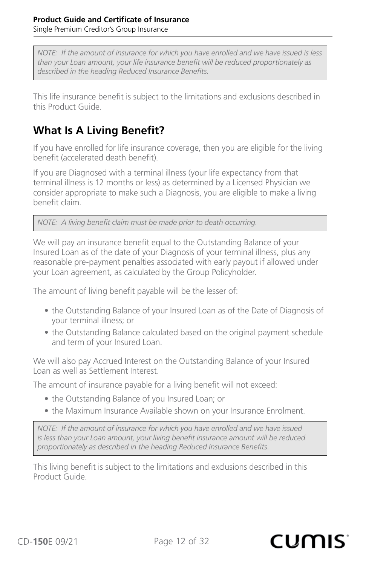<span id="page-11-0"></span>*NOTE: If the amount of insurance for which you have enrolled and we have issued is less than your Loan amount, your life insurance benefit will be reduced proportionately as described in the heading Reduced Insurance Benefits.*

This life insurance benefit is subject to the limitations and exclusions described in this Product Guide.

## **What Is A Living Benefit?**

If you have enrolled for life insurance coverage, then you are eligible for the living benefit (accelerated death benefit).

If you are Diagnosed with a terminal illness (your life expectancy from that terminal illness is 12 months or less) as determined by a Licensed Physician we consider appropriate to make such a Diagnosis, you are eligible to make a living benefit claim.

*NOTE: A living benefit claim must be made prior to death occurring.*

We will pay an insurance benefit equal to the Outstanding Balance of your Insured Loan as of the date of your Diagnosis of your terminal illness, plus any reasonable pre-payment penalties associated with early payout if allowed under your Loan agreement, as calculated by the Group Policyholder.

The amount of living benefit payable will be the lesser of:

- the Outstanding Balance of your Insured Loan as of the Date of Diagnosis of your terminal illness; or
- the Outstanding Balance calculated based on the original payment schedule and term of your Insured Loan.

We will also pay Accrued Interest on the Outstanding Balance of your Insured Loan as well as Settlement Interest.

The amount of insurance payable for a living benefit will not exceed:

- the Outstanding Balance of you Insured Loan; or
- the Maximum Insurance Available shown on your Insurance Enrolment.

*NOTE: If the amount of insurance for which you have enrolled and we have issued is less than your Loan amount, your living benefit insurance amount will be reduced proportionately as described in the heading Reduced Insurance Benefits.*

This living benefit is subject to the limitations and exclusions described in this Product Guide.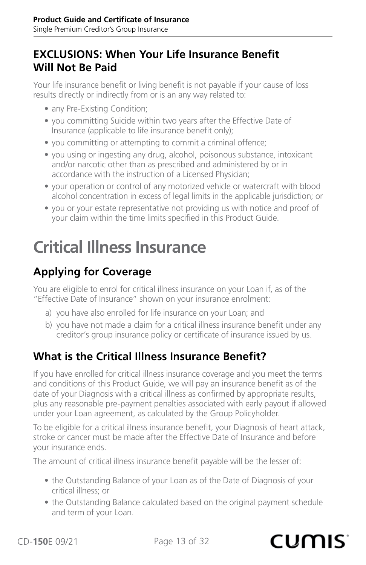## <span id="page-12-0"></span>**EXCLUSIONS: When Your Life Insurance Benefit Will Not Be Paid**

Your life insurance benefit or living benefit is not payable if your cause of loss results directly or indirectly from or is an any way related to:

- any Pre-Existing Condition;
- you committing Suicide within two years after the Effective Date of Insurance (applicable to life insurance benefit only);
- you committing or attempting to commit a criminal offence;
- you using or ingesting any drug, alcohol, poisonous substance, intoxicant and/or narcotic other than as prescribed and administered by or in accordance with the instruction of a Licensed Physician;
- your operation or control of any motorized vehicle or watercraft with blood alcohol concentration in excess of legal limits in the applicable jurisdiction; or
- you or your estate representative not providing us with notice and proof of your claim within the time limits specified in this Product Guide.

## **Critical Illness Insurance**

## **Applying for Coverage**

You are eligible to enrol for critical illness insurance on your Loan if, as of the "Effective Date of Insurance" shown on your insurance enrolment:

- a) you have also enrolled for life insurance on your Loan; and
- b) you have not made a claim for a critical illness insurance benefit under any creditor's group insurance policy or certificate of insurance issued by us.

## **What is the Critical Illness Insurance Benefit?**

If you have enrolled for critical illness insurance coverage and you meet the terms and conditions of this Product Guide, we will pay an insurance benefit as of the date of your Diagnosis with a critical illness as confirmed by appropriate results, plus any reasonable pre-payment penalties associated with early payout if allowed under your Loan agreement, as calculated by the Group Policyholder.

To be eligible for a critical illness insurance benefit, your Diagnosis of heart attack, stroke or cancer must be made after the Effective Date of Insurance and before your insurance ends.

The amount of critical illness insurance benefit payable will be the lesser of:

- the Outstanding Balance of your Loan as of the Date of Diagnosis of your critical illness; or
- the Outstanding Balance calculated based on the original payment schedule and term of your Loan.

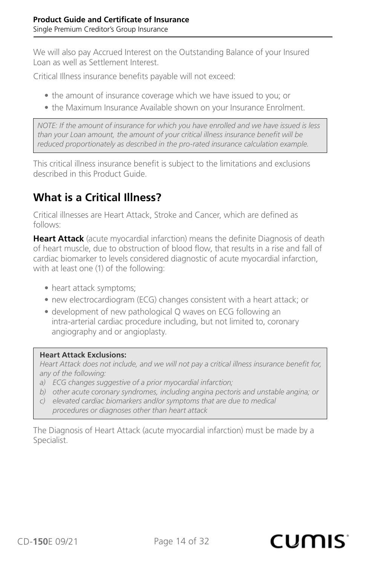<span id="page-13-0"></span>We will also pay Accrued Interest on the Outstanding Balance of your Insured Loan as well as Settlement Interest.

Critical Illness insurance benefits payable will not exceed:

- the amount of insurance coverage which we have issued to you; or
- the Maximum Insurance Available shown on your Insurance Enrolment.

*NOTE: If the amount of insurance for which you have enrolled and we have issued is less than your Loan amount, the amount of your critical illness insurance benefit will be reduced proportionately as described in the pro-rated insurance calculation example.*

This critical illness insurance benefit is subject to the limitations and exclusions described in this Product Guide.

## **What is a Critical Illness?**

Critical illnesses are Heart Attack, Stroke and Cancer, which are defined as follows:

**Heart Attack** (acute myocardial infarction) means the definite Diagnosis of death of heart muscle, due to obstruction of blood flow, that results in a rise and fall of cardiac biomarker to levels considered diagnostic of acute myocardial infarction, with at least one (1) of the following:

- heart attack symptoms;
- new electrocardiogram (ECG) changes consistent with a heart attack; or
- development of new pathological Q waves on ECG following an intra-arterial cardiac procedure including, but not limited to, coronary angiography and or angioplasty.

#### **Heart Attack Exclusions:**

*Heart Attack does not include, and we will not pay a critical illness insurance benefit for, any of the following:*

- *a) ECG changes suggestive of a prior myocardial infarction;*
- *b) other acute coronary syndromes, including angina pectoris and unstable angina; or*
- *c) elevated cardiac biomarkers and/or symptoms that are due to medical procedures or diagnoses other than heart attack*

The Diagnosis of Heart Attack (acute myocardial infarction) must be made by a Specialist.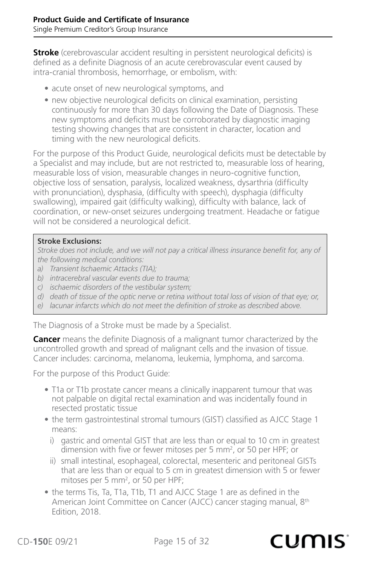**Stroke** (cerebrovascular accident resulting in persistent neurological deficits) is defined as a definite Diagnosis of an acute cerebrovascular event caused by intra-cranial thrombosis, hemorrhage, or embolism, with:

- acute onset of new neurological symptoms, and
- new objective neurological deficits on clinical examination, persisting continuously for more than 30 days following the Date of Diagnosis. These new symptoms and deficits must be corroborated by diagnostic imaging testing showing changes that are consistent in character, location and timing with the new neurological deficits.

For the purpose of this Product Guide, neurological deficits must be detectable by a Specialist and may include, but are not restricted to, measurable loss of hearing, measurable loss of vision, measurable changes in neuro-cognitive function, objective loss of sensation, paralysis, localized weakness, dysarthria (difficulty with pronunciation), dysphasia, (difficulty with speech), dysphagia (difficulty swallowing), impaired gait (difficulty walking), difficulty with balance, lack of coordination, or new-onset seizures undergoing treatment. Headache or fatigue will not be considered a neurological deficit.

#### **Stroke Exclusions:**

*Stroke does not include, and we will not pay a critical illness insurance benefit for, any of the following medical conditions:*

- *a) Transient Ischaemic Attacks (TIA);*
- *b) intracerebral vascular events due to trauma;*
- *c) ischaemic disorders of the vestibular system;*
- *d) death of tissue of the optic nerve or retina without total loss of vision of that eye; or,*
- *e) lacunar infarcts which do not meet the definition of stroke as described above.*

The Diagnosis of a Stroke must be made by a Specialist.

**Cancer** means the definite Diagnosis of a malignant tumor characterized by the uncontrolled growth and spread of malignant cells and the invasion of tissue. Cancer includes: carcinoma, melanoma, leukemia, lymphoma, and sarcoma.

For the purpose of this Product Guide:

- T1a or T1b prostate cancer means a clinically inapparent tumour that was not palpable on digital rectal examination and was incidentally found in resected prostatic tissue
- the term gastrointestinal stromal tumours (GIST) classified as AJCC Stage 1 means:
	- i) gastric and omental GIST that are less than or equal to 10 cm in greatest dimension with five or fewer mitoses per 5 mm<sup>2</sup>, or 50 per HPF; or
	- ii) small intestinal, esophageal, colorectal, mesenteric and peritoneal GISTs that are less than or equal to 5 cm in greatest dimension with 5 or fewer mitoses per 5 mm<sup>2</sup>, or 50 per HPF;
- the terms Tis, Ta, T1a, T1b, T1 and AJCC Stage 1 are as defined in the American Joint Committee on Cancer (AJCC) cancer staging manual, 8<sup>th</sup> Edition, 2018.

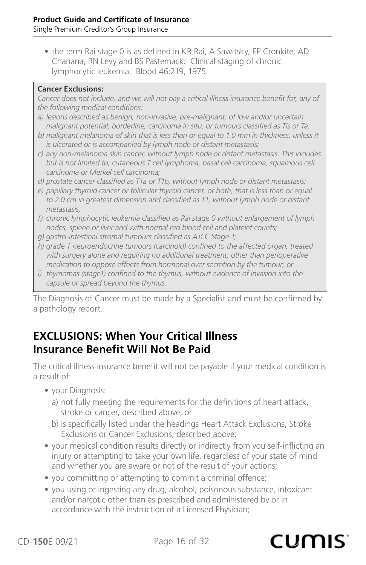<span id="page-15-0"></span>• the term Rai stage 0 is as defined in KR Rai, A Sawitsky, EP Cronkite, AD Chanana, RN Levy and BS Pastemack: Clinical staging of chronic lymphocytic leukemia. Blood 46:219, 1975.

#### **Cancer Exclusions:**

*Cancer does not include, and we will not pay a critical illness insurance benefit for, any of the following medical conditions:*

- *a) lesions described as benign, non-invasive, pre-malignant, of low and/or uncertain malignant potential, borderline, carcinoma in situ, or tumours classified as Tis or Ta;*
- *b) malignant melanoma of skin that is less than or equal to 1.0 mm in thickness, unless it is ulcerated or is accompanied by lymph node or distant metastasis;*
- *c) any non-melanoma skin cancer, without lymph node or distant metastasis. This includes but is not limited to, cutaneous T cell lymphoma, basal cell carcinoma, squamous cell carcinoma or Merkel cell carcinoma;*
- *d) prostate cancer classified as T1a or T1b, without lymph node or distant metastasis;*
- *e) papillary thyroid cancer or follicular thyroid cancer, or both, that is less than or equal to 2.0 cm in greatest dimension and classified as T1, without lymph node or distant metastasis;*
- *f) chronic lymphocytic leukemia classified as Rai stage 0 without enlargement of lymph nodes, spleen or liver and with normal red blood cell and platelet counts;*
- *g) gastro-intestinal stromal tumours classified as AJCC Stage 1;*
- *h) grade 1 neuroendocrine tumours (carcinoid) confined to the affected organ, treated*  with surgery alone and requiring no additional treatment, other than perioperative *medication to oppose effects from hormonal over secretion by the tumour; or*
- *i) thymomas (stage1) confined to the thymus, without evidence of invasion into the capsule or spread beyond the thymus.*

The Diagnosis of Cancer must be made by a Specialist and must be confirmed by a pathology report.

### **EXCLUSIONS: When Your Critical Illness Insurance Benefit Will Not Be Paid**

The critical illness insurance benefit will not be payable if your medical condition is a result of:

- your Diagnosis:
	- a) not fully meeting the requirements for the definitions of heart attack, stroke or cancer, described above; or
	- b) is specifically listed under the headings Heart Attack Exclusions, Stroke Exclusions or Cancer Exclusions, described above;
- your medical condition results directly or indirectly from you self-inflicting an injury or attempting to take your own life, regardless of your state of mind and whether you are aware or not of the result of your actions;
- you committing or attempting to commit a criminal offence;
- you using or ingesting any drug, alcohol, poisonous substance, intoxicant and/or narcotic other than as prescribed and administered by or in accordance with the instruction of a Licensed Physician;

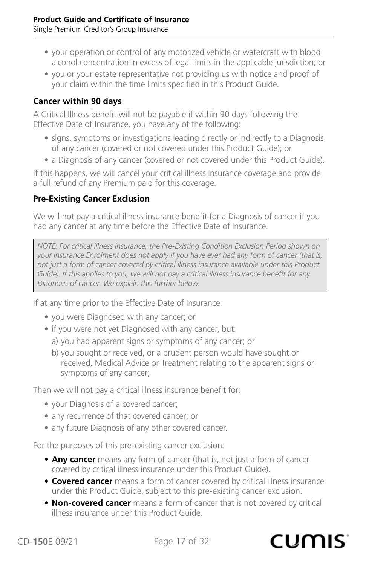- your operation or control of any motorized vehicle or watercraft with blood alcohol concentration in excess of legal limits in the applicable jurisdiction; or
- you or your estate representative not providing us with notice and proof of your claim within the time limits specified in this Product Guide.

#### **Cancer within 90 days**

A Critical Illness benefit will not be payable if within 90 days following the Effective Date of Insurance, you have any of the following:

- signs, symptoms or investigations leading directly or indirectly to a Diagnosis of any cancer (covered or not covered under this Product Guide); or
- a Diagnosis of any cancer (covered or not covered under this Product Guide).

If this happens, we will cancel your critical illness insurance coverage and provide a full refund of any Premium paid for this coverage.

#### **Pre-Existing Cancer Exclusion**

We will not pay a critical illness insurance benefit for a Diagnosis of cancer if you had any cancer at any time before the Effective Date of Insurance.

*NOTE: For critical illness insurance, the Pre-Existing Condition Exclusion Period shown on your Insurance Enrolment does not apply if you have ever had any form of cancer (that is, not just a form of cancer covered by critical illness insurance available under this Product Guide). If this applies to you, we will not pay a critical illness insurance benefit for any Diagnosis of cancer. We explain this further below.*

If at any time prior to the Effective Date of Insurance:

- you were Diagnosed with any cancer; or
- if you were not yet Diagnosed with any cancer, but:
	- a) you had apparent signs or symptoms of any cancer; or
	- b) you sought or received, or a prudent person would have sought or received, Medical Advice or Treatment relating to the apparent signs or symptoms of any cancer;

Then we will not pay a critical illness insurance benefit for:

- your Diagnosis of a covered cancer;
- any recurrence of that covered cancer; or
- any future Diagnosis of any other covered cancer.

For the purposes of this pre-existing cancer exclusion:

- **• Any cancer** means any form of cancer (that is, not just a form of cancer covered by critical illness insurance under this Product Guide).
- **• Covered cancer** means a form of cancer covered by critical illness insurance under this Product Guide, subject to this pre-existing cancer exclusion.
- **• Non-covered cancer** means a form of cancer that is not covered by critical illness insurance under this Product Guide.

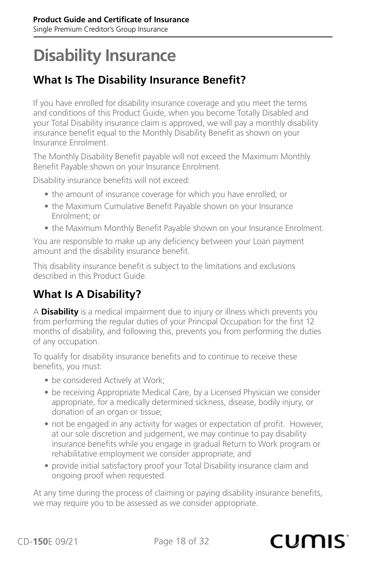## <span id="page-17-0"></span>**Disability Insurance**

## **What Is The Disability Insurance Benefit?**

If you have enrolled for disability insurance coverage and you meet the terms and conditions of this Product Guide, when you become Totally Disabled and your Total Disability insurance claim is approved, we will pay a monthly disability insurance benefit equal to the Monthly Disability Benefit as shown on your Insurance Enrolment.

The Monthly Disability Benefit payable will not exceed the Maximum Monthly Benefit Payable shown on your Insurance Enrolment.

Disability insurance benefits will not exceed:

- the amount of insurance coverage for which you have enrolled; or
- the Maximum Cumulative Benefit Payable shown on your Insurance Enrolment; or
- the Maximum Monthly Benefit Payable shown on your Insurance Enrolment.

You are responsible to make up any deficiency between your Loan payment amount and the disability insurance benefit.

This disability insurance benefit is subject to the limitations and exclusions described in this Product Guide.

## **What Is A Disability?**

A **Disability** is a medical impairment due to injury or illness which prevents you from performing the regular duties of your Principal Occupation for the first 12 months of disability, and following this, prevents you from performing the duties of any occupation.

To qualify for disability insurance benefits and to continue to receive these benefits, you must:

- be considered Actively at Work;
- be receiving Appropriate Medical Care, by a Licensed Physician we consider appropriate, for a medically determined sickness, disease, bodily injury, or donation of an organ or tissue;
- not be engaged in any activity for wages or expectation of profit. However, at our sole discretion and judgement, we may continue to pay disability insurance benefits while you engage in gradual Return to Work program or rehabilitative employment we consider appropriate; and
- provide initial satisfactory proof your Total Disability insurance claim and ongoing proof when requested.

At any time during the process of claiming or paying disability insurance benefits, we may require you to be assessed as we consider appropriate.

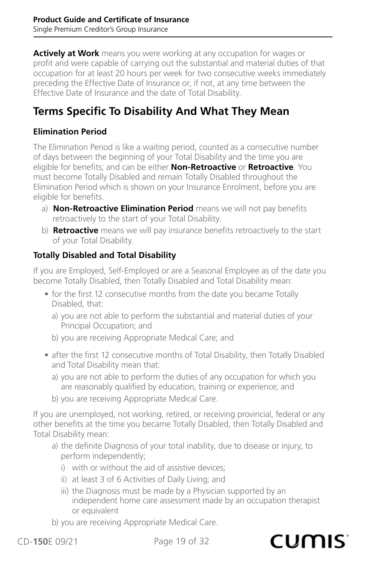**Actively at Work** means you were working at any occupation for wages or profit and were capable of carrying out the substantial and material duties of that occupation for at least 20 hours per week for two consecutive weeks immediately preceding the Effective Date of Insurance or, if not, at any time between the Effective Date of Insurance and the date of Total Disability.

## **Terms Specific To Disability And What They Mean**

#### **Elimination Period**

The Elimination Period is like a waiting period, counted as a consecutive number of days between the beginning of your Total Disability and the time you are eligible for benefits; and can be either **Non-Retroactive** or **Retroactive**. You must become Totally Disabled and remain Totally Disabled throughout the Elimination Period which is shown on your Insurance Enrolment, before you are eligible for benefits.

- a) **Non-Retroactive Elimination Period** means we will not pay benefits retroactively to the start of your Total Disability.
- b) **Retroactive** means we will pay insurance benefits retroactively to the start of your Total Disability.

#### **Totally Disabled and Total Disability**

If you are Employed, Self-Employed or are a Seasonal Employee as of the date you become Totally Disabled, then Totally Disabled and Total Disability mean:

- for the first 12 consecutive months from the date you became Totally Disabled, that:
	- a) you are not able to perform the substantial and material duties of your Principal Occupation; and
	- b) you are receiving Appropriate Medical Care; and
- after the first 12 consecutive months of Total Disability, then Totally Disabled and Total Disability mean that:
	- a) you are not able to perform the duties of any occupation for which you are reasonably qualified by education, training or experience; and
	- b) you are receiving Appropriate Medical Care.

If you are unemployed, not working, retired, or receiving provincial, federal or any other benefits at the time you became Totally Disabled, then Totally Disabled and Total Disability mean:

- a) the definite Diagnosis of your total inability, due to disease or injury, to perform independently;
	- i) with or without the aid of assistive devices;
	- ii) at least 3 of 6 Activities of Daily Living; and
	- iii) the Diagnosis must be made by a Physician supported by an independent home care assessment made by an occupation therapist or equivalent
- b) you are receiving Appropriate Medical Care.

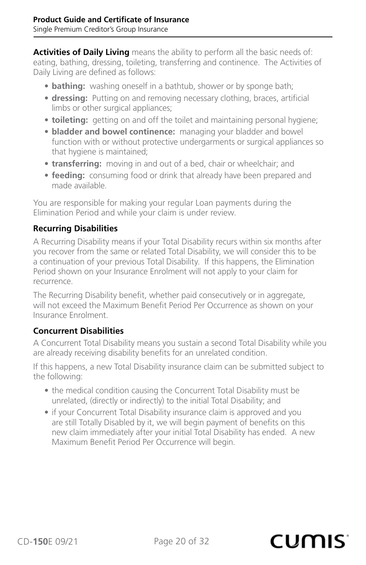**Activities of Daily Living** means the ability to perform all the basic needs of: eating, bathing, dressing, toileting, transferring and continence. The Activities of Daily Living are defined as follows:

- **bathing:** washing oneself in a bathtub, shower or by sponge bath;
- **dressing:** Putting on and removing necessary clothing, braces, artificial limbs or other surgical appliances;
- **toileting:** getting on and off the toilet and maintaining personal hygiene;
- **bladder and bowel continence:** managing your bladder and bowel function with or without protective undergarments or surgical appliances so that hygiene is maintained;
- **transferring:** moving in and out of a bed, chair or wheelchair; and
- **feeding:** consuming food or drink that already have been prepared and made available.

You are responsible for making your regular Loan payments during the Elimination Period and while your claim is under review.

#### **Recurring Disabilities**

A Recurring Disability means if your Total Disability recurs within six months after you recover from the same or related Total Disability, we will consider this to be a continuation of your previous Total Disability. If this happens, the Elimination Period shown on your Insurance Enrolment will not apply to your claim for recurrence.

The Recurring Disability benefit, whether paid consecutively or in aggregate, will not exceed the Maximum Benefit Period Per Occurrence as shown on your Insurance Enrolment.

#### **Concurrent Disabilities**

A Concurrent Total Disability means you sustain a second Total Disability while you are already receiving disability benefits for an unrelated condition.

If this happens, a new Total Disability insurance claim can be submitted subject to the following:

- the medical condition causing the Concurrent Total Disability must be unrelated, (directly or indirectly) to the initial Total Disability; and
- if your Concurrent Total Disability insurance claim is approved and you are still Totally Disabled by it, we will begin payment of benefits on this new claim immediately after your initial Total Disability has ended. A new Maximum Benefit Period Per Occurrence will begin.

#### CD-**150**E 09/21 Page 20 of 32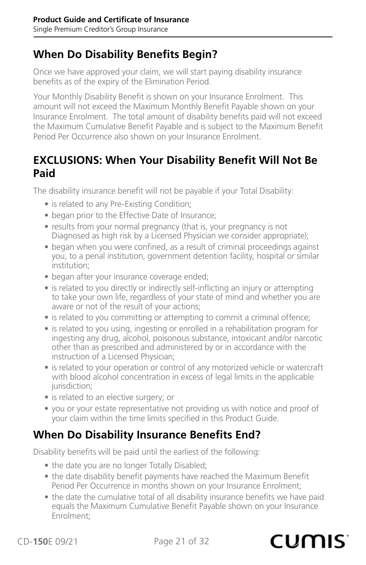### <span id="page-20-0"></span>**When Do Disability Benefits Begin?**

Once we have approved your claim, we will start paying disability insurance benefits as of the expiry of the Elimination Period.

Your Monthly Disability Benefit is shown on your Insurance Enrolment. This amount will not exceed the Maximum Monthly Benefit Payable shown on your Insurance Enrolment. The total amount of disability benefits paid will not exceed the Maximum Cumulative Benefit Payable and is subject to the Maximum Benefit Period Per Occurrence also shown on your Insurance Enrolment.

#### **EXCLUSIONS: When Your Disability Benefit Will Not Be Paid**

The disability insurance benefit will not be payable if your Total Disability:

- is related to any Pre-Existing Condition;
- began prior to the Effective Date of Insurance;
- results from your normal pregnancy (that is, your pregnancy is not Diagnosed as high risk by a Licensed Physician we consider appropriate);
- began when you were confined, as a result of criminal proceedings against you, to a penal institution, government detention facility, hospital or similar institution;
- began after your insurance coverage ended;
- is related to you directly or indirectly self-inflicting an injury or attempting to take your own life, regardless of your state of mind and whether you are aware or not of the result of your actions;
- is related to you committing or attempting to commit a criminal offence;
- is related to you using, ingesting or enrolled in a rehabilitation program for ingesting any drug, alcohol, poisonous substance, intoxicant and/or narcotic other than as prescribed and administered by or in accordance with the instruction of a Licensed Physician;
- is related to your operation or control of any motorized vehicle or watercraft with blood alcohol concentration in excess of legal limits in the applicable jurisdiction;
- is related to an elective surgery; or
- you or your estate representative not providing us with notice and proof of your claim within the time limits specified in this Product Guide.

### **When Do Disability Insurance Benefits End?**

Disability benefits will be paid until the earliest of the following:

- the date you are no longer Totally Disabled;
- the date disability benefit payments have reached the Maximum Benefit Period Per Occurrence in months shown on your Insurance Enrolment;
- the date the cumulative total of all disability insurance benefits we have paid equals the Maximum Cumulative Benefit Payable shown on your Insurance Enrolment;

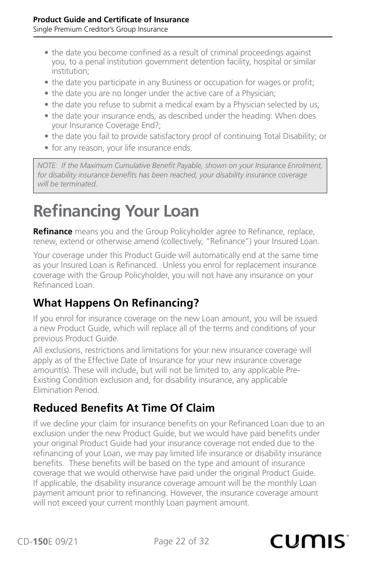- <span id="page-21-0"></span>• the date you become confined as a result of criminal proceedings against you, to a penal institution government detention facility, hospital or similar institution;
- the date you participate in any Business or occupation for wages or profit;
- the date you are no longer under the active care of a Physician;
- the date you refuse to submit a medical exam by a Physician selected by us;
- the date your insurance ends, as described under the heading: When does your Insurance Coverage End?;
- the date you fail to provide satisfactory proof of continuing Total Disability; or
- for any reason, your life insurance ends.

*NOTE: If the Maximum Cumulative Benefit Payable, shown on your Insurance Enrolment, for disability insurance benefits has been reached, your disability insurance coverage will be terminated.*

## **Refinancing Your Loan**

**Refinance** means you and the Group Policyholder agree to Refinance, replace, renew, extend or otherwise amend (collectively, "Refinance") your Insured Loan.

Your coverage under this Product Guide will automatically end at the same time as your Insured Loan is Refinanced. Unless you enrol for replacement insurance coverage with the Group Policyholder, you will not have any insurance on your Refinanced Loan.

## **What Happens On Refinancing?**

If you enrol for insurance coverage on the new Loan amount, you will be issued a new Product Guide, which will replace all of the terms and conditions of your previous Product Guide.

All exclusions, restrictions and limitations for your new insurance coverage will apply as of the Effective Date of Insurance for your new insurance coverage amount(s). These will include, but will not be limited to, any applicable Pre-Existing Condition exclusion and, for disability insurance, any applicable Elimination Period.

## **Reduced Benefits At Time Of Claim**

If we decline your claim for insurance benefits on your Refinanced Loan due to an exclusion under the new Product Guide, but we would have paid benefits under your original Product Guide had your insurance coverage not ended due to the refinancing of your Loan, we may pay limited life insurance or disability insurance benefits. These benefits will be based on the type and amount of insurance coverage that we would otherwise have paid under the original Product Guide. If applicable, the disability insurance coverage amount will be the monthly Loan payment amount prior to refinancing. However, the insurance coverage amount will not exceed your current monthly Loan payment amount.

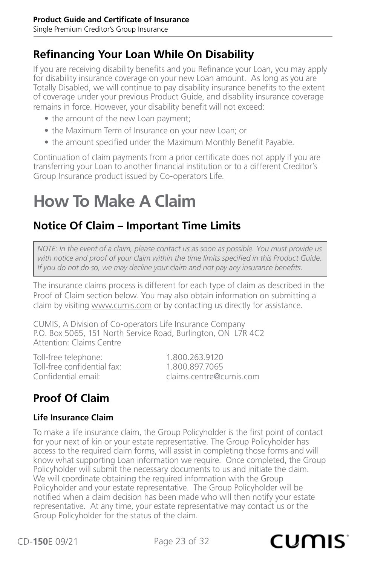## <span id="page-22-0"></span>**Refinancing Your Loan While On Disability**

If you are receiving disability benefits and you Refinance your Loan, you may apply for disability insurance coverage on your new Loan amount. As long as you are Totally Disabled, we will continue to pay disability insurance benefits to the extent of coverage under your previous Product Guide, and disability insurance coverage remains in force. However, your disability benefit will not exceed:

- the amount of the new Loan payment;
- the Maximum Term of Insurance on your new Loan; or
- the amount specified under the Maximum Monthly Benefit Payable.

Continuation of claim payments from a prior certificate does not apply if you are transferring your Loan to another financial institution or to a different Creditor's Group Insurance product issued by Co-operators Life.

## **How To Make A Claim**

## **Notice Of Claim – Important Time Limits**

*NOTE: In the event of a claim, please contact us as soon as possible. You must provide us with notice and proof of your claim within the time limits specified in this Product Guide. If you do not do so, we may decline your claim and not pay any insurance benefits.*

The insurance claims process is different for each type of claim as described in the Proof of Claim section below. You may also obtain information on submitting a claim by visiting www.cumis.com or by contacting us directly for assistance.

CUMIS, A Division of Co-operators Life Insurance Company P.O. Box 5065, 151 North Service Road, Burlington, ON L7R 4C2 Attention: Claims Centre

Toll-free telephone: 1.800.263.9120<br>Toll-free confidential fax: 1.800.897.7065 Toll-free confidential fax:<br>Confidential email:

[claims.centre@cumis.com](mailto:claims.centre%40cumis.com?subject=)

## **Proof Of Claim**

#### **Life Insurance Claim**

To make a life insurance claim, the Group Policyholder is the first point of contact for your next of kin or your estate representative. The Group Policyholder has access to the required claim forms, will assist in completing those forms and will know what supporting Loan information we require. Once completed, the Group Policyholder will submit the necessary documents to us and initiate the claim. We will coordinate obtaining the required information with the Group Policyholder and your estate representative. The Group Policyholder will be notified when a claim decision has been made who will then notify your estate representative. At any time, your estate representative may contact us or the Group Policyholder for the status of the claim.

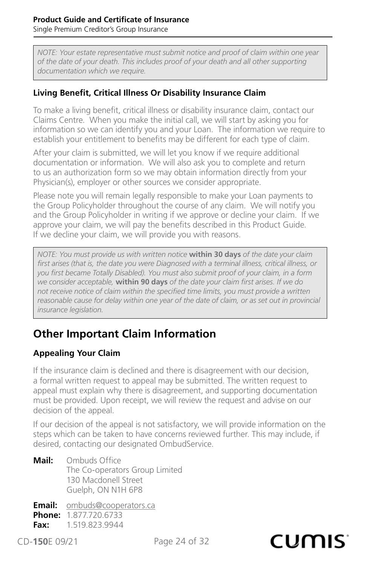<span id="page-23-0"></span>Single Premium Creditor's Group Insurance

*NOTE: Your estate representative must submit notice and proof of claim within one year of the date of your death. This includes proof of your death and all other supporting documentation which we require.*

#### **Living Benefit, Critical Illness Or Disability Insurance Claim**

To make a living benefit, critical illness or disability insurance claim, contact our Claims Centre. When you make the initial call, we will start by asking you for information so we can identify you and your Loan. The information we require to establish your entitlement to benefits may be different for each type of claim.

After your claim is submitted, we will let you know if we require additional documentation or information. We will also ask you to complete and return to us an authorization form so we may obtain information directly from your Physician(s), employer or other sources we consider appropriate.

Please note you will remain legally responsible to make your Loan payments to the Group Policyholder throughout the course of any claim. We will notify you and the Group Policyholder in writing if we approve or decline your claim. If we approve your claim, we will pay the benefits described in this Product Guide. If we decline your claim, we will provide you with reasons.

*NOTE: You must provide us with written notice* **within 30 days** *of the date your claim first arises (that is, the date you were Diagnosed with a terminal illness, critical illness, or you first became Totally Disabled). You must also submit proof of your claim, in a form we consider acceptable,* **within 90 days** *of the date your claim first arises. If we do not receive notice of claim within the specified time limits, you must provide a written reasonable cause for delay within one year of the date of claim, or as set out in provincial insurance legislation.*

## **Other Important Claim Information**

#### **Appealing Your Claim**

If the insurance claim is declined and there is disagreement with our decision, a formal written request to appeal may be submitted. The written request to appeal must explain why there is disagreement, and supporting documentation must be provided. Upon receipt, we will review the request and advise on our decision of the appeal.

If our decision of the appeal is not satisfactory, we will provide information on the steps which can be taken to have concerns reviewed further. This may include, if desired, contacting our designated OmbudService.

**Mail:** Ombuds Office The Co-operators Group Limited 130 Macdonell Street Guelph, ON N1H 6P8

**Email:** [ombuds@cooperators.ca](mailto:ombuds%40cooperators.ca?subject=) **Phone:** 1.877.720.6733 **Fax:** 1.519.823.9944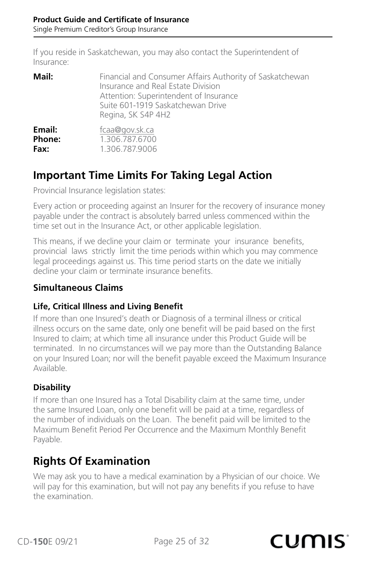<span id="page-24-0"></span>If you reside in Saskatchewan, you may also contact the Superintendent of Insurance:

| Mail:  | Financial and Consumer Affairs Authority of Saskatchewan<br>Insurance and Real Estate Division<br>Attention: Superintendent of Insurance<br>Suite 601-1919 Saskatchewan Drive<br>Regina, SK S4P 4H2 |
|--------|-----------------------------------------------------------------------------------------------------------------------------------------------------------------------------------------------------|
| Email: | fcaa@gov.sk.ca                                                                                                                                                                                      |
| Phone: | 1.306.787.6700                                                                                                                                                                                      |
| Fax:   | 1.306.787.9006                                                                                                                                                                                      |

### **Important Time Limits For Taking Legal Action**

Provincial Insurance legislation states:

Every action or proceeding against an Insurer for the recovery of insurance money payable under the contract is absolutely barred unless commenced within the time set out in the Insurance Act, or other applicable legislation.

This means, if we decline your claim or terminate your insurance benefits, provincial laws strictly limit the time periods within which you may commence legal proceedings against us. This time period starts on the date we initially decline your claim or terminate insurance benefits.

#### **Simultaneous Claims**

#### **Life, Critical Illness and Living Benefit**

If more than one Insured's death or Diagnosis of a terminal illness or critical illness occurs on the same date, only one benefit will be paid based on the first Insured to claim; at which time all insurance under this Product Guide will be terminated. In no circumstances will we pay more than the Outstanding Balance on your Insured Loan; nor will the benefit payable exceed the Maximum Insurance Available.

#### **Disability**

If more than one Insured has a Total Disability claim at the same time, under the same Insured Loan, only one benefit will be paid at a time, regardless of the number of individuals on the Loan. The benefit paid will be limited to the Maximum Benefit Period Per Occurrence and the Maximum Monthly Benefit Payable.

### **Rights Of Examination**

We may ask you to have a medical examination by a Physician of our choice. We will pay for this examination, but will not pay any benefits if you refuse to have the examination.

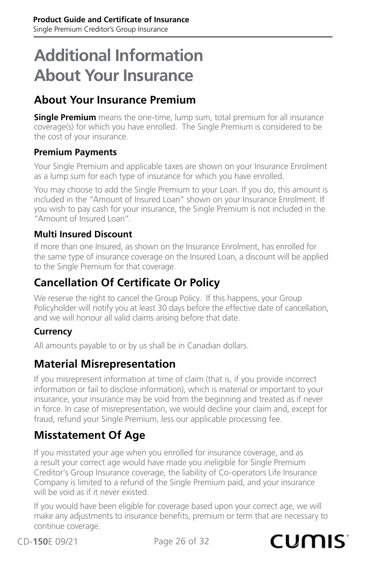## <span id="page-25-0"></span>**Additional Information About Your Insurance**

## **About Your Insurance Premium**

**Single Premium** means the one-time, lump sum, total premium for all insurance coverage(s) for which you have enrolled. The Single Premium is considered to be the cost of your insurance.

#### **Premium Payments**

Your Single Premium and applicable taxes are shown on your Insurance Enrolment as a lump sum for each type of insurance for which you have enrolled.

You may choose to add the Single Premium to your Loan. If you do, this amount is included in the "Amount of Insured Loan" shown on your Insurance Enrolment. If you wish to pay cash for your insurance, the Single Premium is not included in the "Amount of Insured Loan".

#### **Multi Insured Discount**

If more than one Insured, as shown on the Insurance Enrolment, has enrolled for the same type of insurance coverage on the Insured Loan, a discount will be applied to the Single Premium for that coverage.

## **Cancellation Of Certificate Or Policy**

We reserve the right to cancel the Group Policy. If this happens, your Group Policyholder will notify you at least 30 days before the effective date of cancellation, and we will honour all valid claims arising before that date.

#### **Currency**

All amounts payable to or by us shall be in Canadian dollars.

### **Material Misrepresentation**

If you misrepresent information at time of claim (that is, if you provide incorrect information or fail to disclose information), which is material or important to your insurance, your insurance may be void from the beginning and treated as if never in force. In case of misrepresentation, we would decline your claim and, except for fraud, refund your Single Premium, less our applicable processing fee.

## **Misstatement Of Age**

If you misstated your age when you enrolled for insurance coverage, and as a result your correct age would have made you ineligible for Single Premium Creditor's Group Insurance coverage, the liability of Co-operators Life Insurance Company is limited to a refund of the Single Premium paid, and your insurance will be void as if it never existed.

If you would have been eligible for coverage based upon your correct age, we will make any adjustments to insurance benefits, premium or term that are necessary to continue coverage.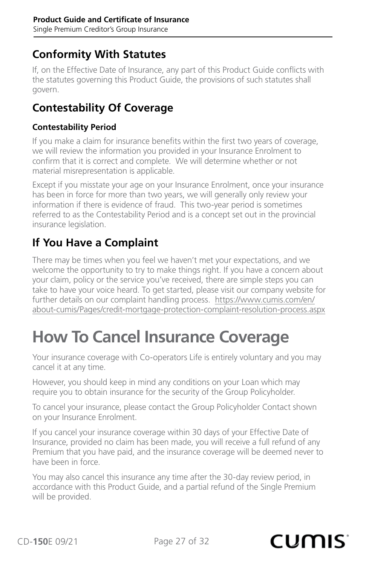## <span id="page-26-0"></span>**Conformity With Statutes**

If, on the Effective Date of Insurance, any part of this Product Guide conflicts with the statutes governing this Product Guide, the provisions of such statutes shall govern.

### **Contestability Of Coverage**

#### **Contestability Period**

If you make a claim for insurance benefits within the first two years of coverage, we will review the information you provided in your Insurance Enrolment to confirm that it is correct and complete. We will determine whether or not material misrepresentation is applicable.

Except if you misstate your age on your Insurance Enrolment, once your insurance has been in force for more than two years, we will generally only review your information if there is evidence of fraud. This two-year period is sometimes referred to as the Contestability Period and is a concept set out in the provincial insurance legislation.

### **If You Have a Complaint**

There may be times when you feel we haven't met your expectations, and we welcome the opportunity to try to make things right. If you have a concern about your claim, policy or the service you've received, there are simple steps you can take to have your voice heard. To get started, please visit our company website for further details on our complaint handling process. [https://www.cumis.com/en/](https://www.cumis.com/en/about-cumis/Pages/credit-mortgage-protection-complaint-resolution-process.aspx) [about-cumis/Pages/credit-mortgage-protection-complaint-resolution-process.aspx](https://www.cumis.com/en/about-cumis/Pages/credit-mortgage-protection-complaint-resolution-process.aspx)

## **How To Cancel Insurance Coverage**

Your insurance coverage with Co-operators Life is entirely voluntary and you may cancel it at any time.

However, you should keep in mind any conditions on your Loan which may require you to obtain insurance for the security of the Group Policyholder.

To cancel your insurance, please contact the Group Policyholder Contact shown on your Insurance Enrolment.

If you cancel your insurance coverage within 30 days of your Effective Date of Insurance, provided no claim has been made, you will receive a full refund of any Premium that you have paid, and the insurance coverage will be deemed never to have been in force.

You may also cancel this insurance any time after the 30-day review period, in accordance with this Product Guide, and a partial refund of the Single Premium will be provided.

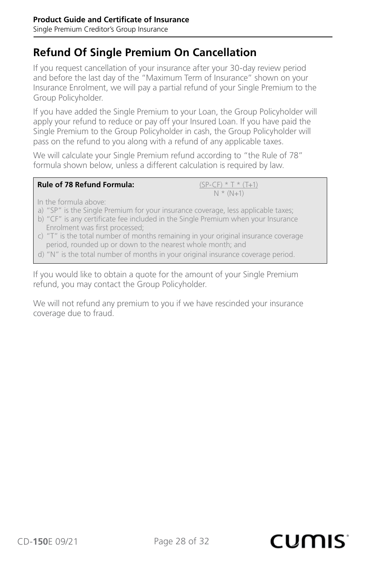### **Refund Of Single Premium On Cancellation**

If you request cancellation of your insurance after your 30-day review period and before the last day of the "Maximum Term of Insurance" shown on your Insurance Enrolment, we will pay a partial refund of your Single Premium to the Group Policyholder.

If you have added the Single Premium to your Loan, the Group Policyholder will apply your refund to reduce or pay off your Insured Loan. If you have paid the Single Premium to the Group Policyholder in cash, the Group Policyholder will pass on the refund to you along with a refund of any applicable taxes.

We will calculate your Single Premium refund according to "the Rule of 78" formula shown below, unless a different calculation is required by law.

| <b>Rule of 78 Refund Formula:</b> | $(SP-CF) * T * (T+1)$ |
|-----------------------------------|-----------------------|
|                                   | $N * (N+1)$           |

In the formula above:

- a) "SP" is the Single Premium for your insurance coverage, less applicable taxes;
- b) "CF" is any certificate fee included in the Single Premium when your Insurance Enrolment was first processed;
- c) "T" is the total number of months remaining in your original insurance coverage period, rounded up or down to the nearest whole month; and
- d) "N" is the total number of months in your original insurance coverage period.

If you would like to obtain a quote for the amount of your Single Premium refund, you may contact the Group Policyholder.

We will not refund any premium to you if we have rescinded your insurance coverage due to fraud.

CD-**150**E 09/21 Page 28 of 32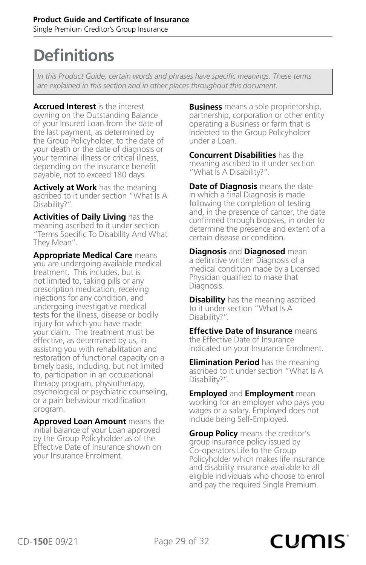## <span id="page-28-0"></span>**Definitions**

*In this Product Guide, certain words and phrases have specific meanings. These terms are explained in this section and in other places throughout this document.*

**Accrued Interest** is the interest owning on the Outstanding Balance of your Insured Loan from the date of the last payment, as determined by the Group Policyholder, to the date of your death or the date of diagnosis or your terminal illness or critical illness, depending on the insurance benefit payable, not to exceed 180 days.

**Actively at Work** has the meaning ascribed to it under section "What Is A Disability?".

**Activities of Daily Living** has the meaning ascribed to it under section "Terms Specific To Disability And What They Mean".

**Appropriate Medical Care** means you are undergoing available medical treatment. This includes, but is not limited to, taking pills or any prescription medication, receiving injections for any condition, and undergoing investigative medical tests for the illness, disease or bodily injury for which you have made your claim. The treatment must be effective, as determined by us, in assisting you with rehabilitation and restoration of functional capacity on a timely basis, including, but not limited to, participation in an occupational therapy program, physiotherapy, psychological or psychiatric counseling, or a pain behaviour modification program.

**Approved Loan Amount** means the initial balance of your Loan approved by the Group Policyholder as of the Effective Date of Insurance shown on your Insurance Enrolment.

**Business** means a sole proprietorship, partnership, corporation or other entity operating a Business or farm that is indebted to the Group Policyholder under a Loan.

**Concurrent Disabilities** has the meaning ascribed to it under section "What Is A Disability?".

**Date of Diagnosis** means the date in which a final Diagnosis is made following the completion of testing and, in the presence of cancer, the date confirmed through biopsies, in order to determine the presence and extent of a certain disease or condition.

**Diagnosis** and **Diagnosed** mean a definitive written Diagnosis of a medical condition made by a Licensed Physician qualified to make that Diagnosis.

**Disability** has the meaning ascribed to it under section "What Is A Disability?".

**Effective Date of Insurance** means the Effective Date of Insurance indicated on your Insurance Enrolment.

**Elimination Period** has the meaning ascribed to it under section "What Is A Disability?".

**Employed** and **Employment** mean working for an employer who pays you wages or a salary. Employed does not include being Self-Employed.

**Group Policy** means the creditor's group insurance policy issued by Co-operators Life to the Group Policyholder which makes life insurance and disability insurance available to all eligible individuals who choose to enrol and pay the required Single Premium.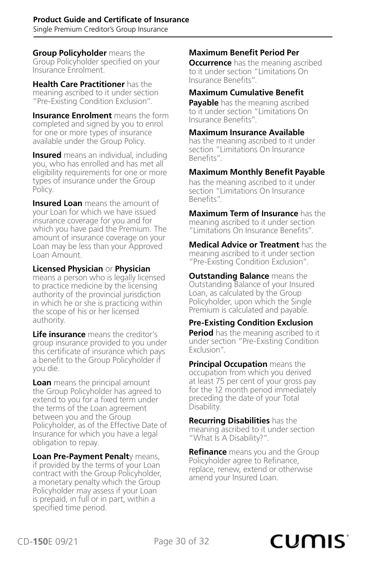**Group Policyholder** means the Group Policyholder specified on your Insurance Enrolment.

**Health Care Practitioner** has the meaning ascribed to it under section "Pre-Existing Condition Exclusion".

**Insurance Enrolment** means the form completed and signed by you to enrol for one or more types of insurance available under the Group Policy.

**Insured** means an individual, including you, who has enrolled and has met all eligibility requirements for one or more types of insurance under the Group Policy.

**Insured Loan** means the amount of your Loan for which we have issued insurance coverage for you and for which you have paid the Premium. The amount of insurance coverage on your Loan may be less than your Approved Loan Amount.

**Licensed Physician** or **Physician**  means a person who is legally licensed to practice medicine by the licensing authority of the provincial jurisdiction in which he or she is practicing within the scope of his or her licensed authority.

**Life insurance** means the creditor's group insurance provided to you under this certificate of insurance which pays a benefit to the Group Policyholder if you die.

**Loan** means the principal amount the Group Policyholder has agreed to extend to you for a fixed term under the terms of the Loan agreement between you and the Group Policyholder, as of the Effective Date of Insurance for which you have a legal obligation to repay.

**Loan Pre-Payment Penalt**y means, if provided by the terms of your Loan contract with the Group Policyholder, a monetary penalty which the Group Policyholder may assess if your Loan is prepaid, in full or in part, within a specified time period.

#### **Maximum Benefit Period Per**

**Occurrence** has the meaning ascribed to it under section "Limitations On Insurance Benefits".

#### **Maximum Cumulative Benefit**

**Payable** has the meaning ascribed to it under section "Limitations On Insurance Benefits".

#### **Maximum Insurance Available**

has the meaning ascribed to it under section "Limitations On Insurance Benefits".

#### **Maximum Monthly Benefit Payable**

has the meaning ascribed to it under section "Limitations On Insurance Benefits".

**Maximum Term of Insurance** has the meaning ascribed to it under section "Limitations On Insurance Benefits".

**Medical Advice or Treatment** has the meaning ascribed to it under section "Pre-Existing Condition Exclusion".

**Outstanding Balance** means the Outstanding Balance of your Insured Loan, as calculated by the Group Policyholder, upon which the Single Premium is calculated and payable.

#### **Pre-Existing Condition Exclusion**

**Period** has the meaning ascribed to it under section "Pre-Existing Condition Exclusion".

**Principal Occupation** means the occupation from which you derived at least 75 per cent of your gross pay for the 12 month period immediately preceding the date of your Total Disability.

**Recurring Disabilities** has the meaning ascribed to it under section "What Is A Disability?".

**Refinance** means you and the Group Policyholder agree to Refinance, replace, renew, extend or otherwise amend your Insured Loan.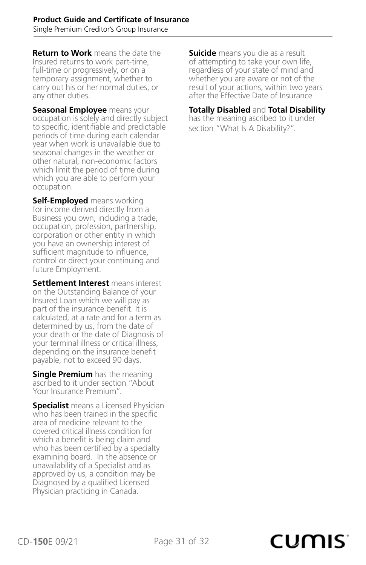**Return to Work** means the date the Insured returns to work part-time, full-time or progressively, or on a temporary assignment, whether to carry out his or her normal duties, or any other duties.

**Seasonal Employee** means your occupation is solely and directly subject to specific, identifiable and predictable periods of time during each calendar year when work is unavailable due to seasonal changes in the weather or other natural, non-economic factors which limit the period of time during which you are able to perform your occupation.

**Self-Employed** means working for income derived directly from a Business you own, including a trade, occupation, profession, partnership, corporation or other entity in which you have an ownership interest of sufficient magnitude to influence, control or direct your continuing and future Employment.

**Settlement Interest** means interest on the Outstanding Balance of your Insured Loan which we will pay as part of the insurance benefit. It is calculated, at a rate and for a term as determined by us, from the date of your death or the date of Diagnosis of your terminal illness or critical illness, depending on the insurance benefit payable, not to exceed 90 days.

**Single Premium** has the meaning ascribed to it under section "About Your Insurance Premium".

**Specialist** means a Licensed Physician who has been trained in the specific area of medicine relevant to the covered critical illness condition for which a benefit is being claim and who has been certified by a specialty examining board. In the absence or unavailability of a Specialist and as approved by us, a condition may be Diagnosed by a qualified Licensed Physician practicing in Canada.

**Suicide** means you die as a result of attempting to take your own life, regardless of your state of mind and whether you are aware or not of the result of your actions, within two years after the Effective Date of Insurance

#### **Totally Disabled** and **Total Disability**

has the meaning ascribed to it under section "What Is A Disability?".